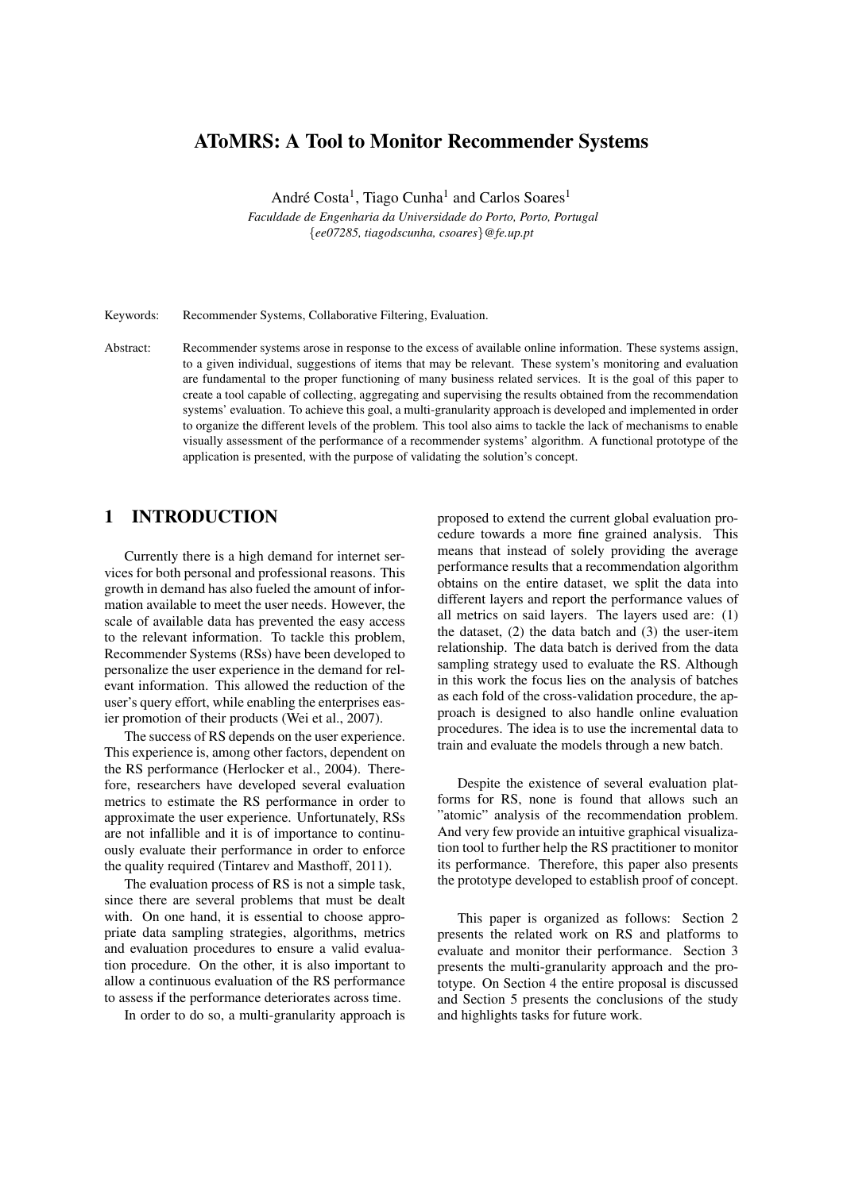# AToMRS: A Tool to Monitor Recommender Systems

André Costa<sup>1</sup>, Tiago Cunha<sup>1</sup> and Carlos Soares<sup>1</sup>

*Faculdade de Engenharia da Universidade do Porto, Porto, Portugal* {*ee07285, tiagodscunha, csoares*}*@fe.up.pt*

Keywords: Recommender Systems, Collaborative Filtering, Evaluation.

Abstract: Recommender systems arose in response to the excess of available online information. These systems assign, to a given individual, suggestions of items that may be relevant. These system's monitoring and evaluation are fundamental to the proper functioning of many business related services. It is the goal of this paper to create a tool capable of collecting, aggregating and supervising the results obtained from the recommendation systems' evaluation. To achieve this goal, a multi-granularity approach is developed and implemented in order to organize the different levels of the problem. This tool also aims to tackle the lack of mechanisms to enable visually assessment of the performance of a recommender systems' algorithm. A functional prototype of the application is presented, with the purpose of validating the solution's concept.

## 1 INTRODUCTION

Currently there is a high demand for internet services for both personal and professional reasons. This growth in demand has also fueled the amount of information available to meet the user needs. However, the scale of available data has prevented the easy access to the relevant information. To tackle this problem, Recommender Systems (RSs) have been developed to personalize the user experience in the demand for relevant information. This allowed the reduction of the user's query effort, while enabling the enterprises easier promotion of their products (Wei et al., 2007).

The success of RS depends on the user experience. This experience is, among other factors, dependent on the RS performance (Herlocker et al., 2004). Therefore, researchers have developed several evaluation metrics to estimate the RS performance in order to approximate the user experience. Unfortunately, RSs are not infallible and it is of importance to continuously evaluate their performance in order to enforce the quality required (Tintarev and Masthoff, 2011).

The evaluation process of RS is not a simple task, since there are several problems that must be dealt with. On one hand, it is essential to choose appropriate data sampling strategies, algorithms, metrics and evaluation procedures to ensure a valid evaluation procedure. On the other, it is also important to allow a continuous evaluation of the RS performance to assess if the performance deteriorates across time.

In order to do so, a multi-granularity approach is

proposed to extend the current global evaluation procedure towards a more fine grained analysis. This means that instead of solely providing the average performance results that a recommendation algorithm obtains on the entire dataset, we split the data into different layers and report the performance values of all metrics on said layers. The layers used are: (1) the dataset, (2) the data batch and (3) the user-item relationship. The data batch is derived from the data sampling strategy used to evaluate the RS. Although in this work the focus lies on the analysis of batches as each fold of the cross-validation procedure, the approach is designed to also handle online evaluation procedures. The idea is to use the incremental data to train and evaluate the models through a new batch.

Despite the existence of several evaluation platforms for RS, none is found that allows such an "atomic" analysis of the recommendation problem. And very few provide an intuitive graphical visualization tool to further help the RS practitioner to monitor its performance. Therefore, this paper also presents the prototype developed to establish proof of concept.

This paper is organized as follows: Section 2 presents the related work on RS and platforms to evaluate and monitor their performance. Section 3 presents the multi-granularity approach and the prototype. On Section 4 the entire proposal is discussed and Section 5 presents the conclusions of the study and highlights tasks for future work.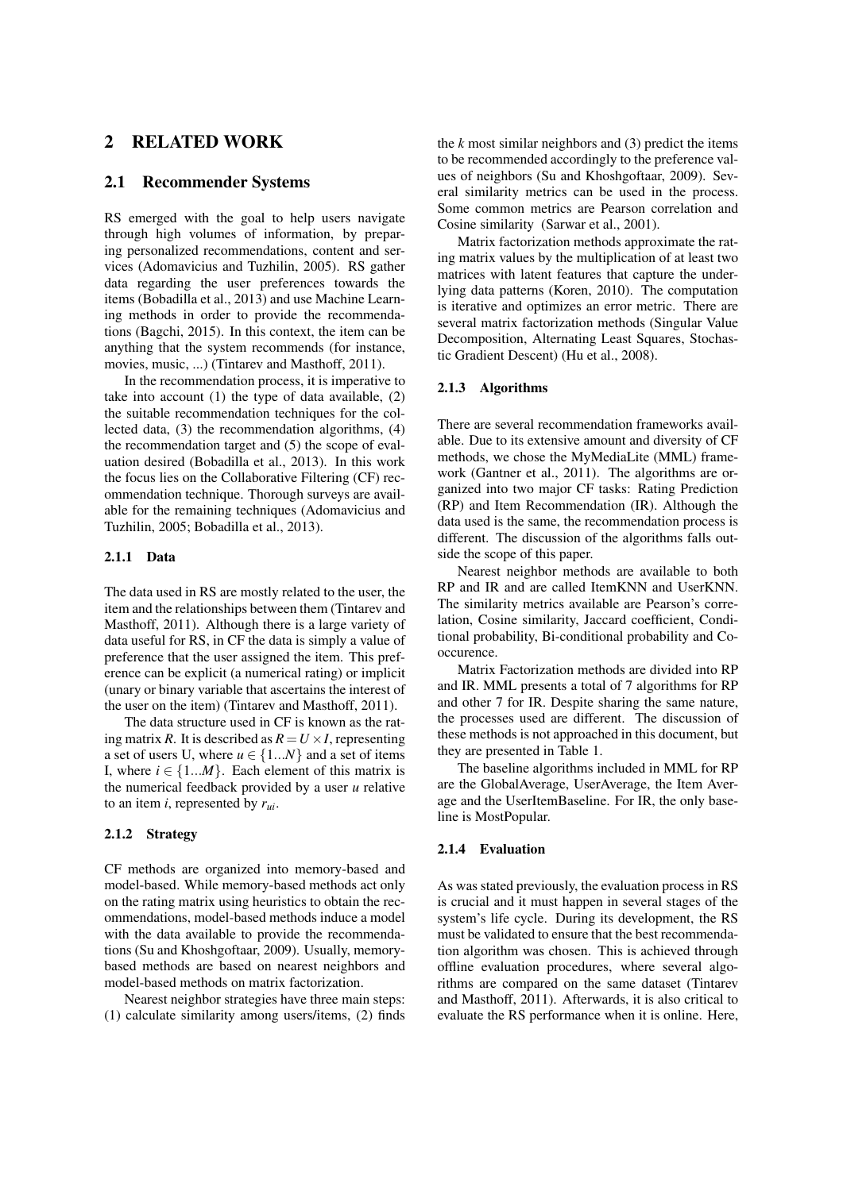## 2 RELATED WORK

### 2.1 Recommender Systems

RS emerged with the goal to help users navigate through high volumes of information, by preparing personalized recommendations, content and services (Adomavicius and Tuzhilin, 2005). RS gather data regarding the user preferences towards the items (Bobadilla et al., 2013) and use Machine Learning methods in order to provide the recommendations (Bagchi, 2015). In this context, the item can be anything that the system recommends (for instance, movies, music, ...) (Tintarev and Masthoff, 2011).

In the recommendation process, it is imperative to take into account  $(1)$  the type of data available,  $(2)$ the suitable recommendation techniques for the collected data, (3) the recommendation algorithms, (4) the recommendation target and (5) the scope of evaluation desired (Bobadilla et al., 2013). In this work the focus lies on the Collaborative Filtering (CF) recommendation technique. Thorough surveys are available for the remaining techniques (Adomavicius and Tuzhilin, 2005; Bobadilla et al., 2013).

#### 2.1.1 Data

The data used in RS are mostly related to the user, the item and the relationships between them (Tintarev and Masthoff, 2011). Although there is a large variety of data useful for RS, in CF the data is simply a value of preference that the user assigned the item. This preference can be explicit (a numerical rating) or implicit (unary or binary variable that ascertains the interest of the user on the item) (Tintarev and Masthoff, 2011).

The data structure used in CF is known as the rating matrix *R*. It is described as  $R = U \times I$ , representing a set of users U, where  $u \in \{1...N\}$  and a set of items I, where  $i \in \{1...M\}$ . Each element of this matrix is the numerical feedback provided by a user *u* relative to an item *i*, represented by *rui*.

#### 2.1.2 Strategy

CF methods are organized into memory-based and model-based. While memory-based methods act only on the rating matrix using heuristics to obtain the recommendations, model-based methods induce a model with the data available to provide the recommendations (Su and Khoshgoftaar, 2009). Usually, memorybased methods are based on nearest neighbors and model-based methods on matrix factorization.

Nearest neighbor strategies have three main steps: (1) calculate similarity among users/items, (2) finds

the  $k$  most similar neighbors and  $(3)$  predict the items to be recommended accordingly to the preference values of neighbors (Su and Khoshgoftaar, 2009). Several similarity metrics can be used in the process. Some common metrics are Pearson correlation and Cosine similarity (Sarwar et al., 2001).

Matrix factorization methods approximate the rating matrix values by the multiplication of at least two matrices with latent features that capture the underlying data patterns (Koren, 2010). The computation is iterative and optimizes an error metric. There are several matrix factorization methods (Singular Value Decomposition, Alternating Least Squares, Stochastic Gradient Descent) (Hu et al., 2008).

#### 2.1.3 Algorithms

There are several recommendation frameworks available. Due to its extensive amount and diversity of CF methods, we chose the MyMediaLite (MML) framework (Gantner et al., 2011). The algorithms are organized into two major CF tasks: Rating Prediction (RP) and Item Recommendation (IR). Although the data used is the same, the recommendation process is different. The discussion of the algorithms falls outside the scope of this paper.

Nearest neighbor methods are available to both RP and IR and are called ItemKNN and UserKNN. The similarity metrics available are Pearson's correlation, Cosine similarity, Jaccard coefficient, Conditional probability, Bi-conditional probability and Cooccurence.

Matrix Factorization methods are divided into RP and IR. MML presents a total of 7 algorithms for RP and other 7 for IR. Despite sharing the same nature, the processes used are different. The discussion of these methods is not approached in this document, but they are presented in Table 1.

The baseline algorithms included in MML for RP are the GlobalAverage, UserAverage, the Item Average and the UserItemBaseline. For IR, the only baseline is MostPopular.

#### 2.1.4 Evaluation

As was stated previously, the evaluation process in RS is crucial and it must happen in several stages of the system's life cycle. During its development, the RS must be validated to ensure that the best recommendation algorithm was chosen. This is achieved through offline evaluation procedures, where several algorithms are compared on the same dataset (Tintarev and Masthoff, 2011). Afterwards, it is also critical to evaluate the RS performance when it is online. Here,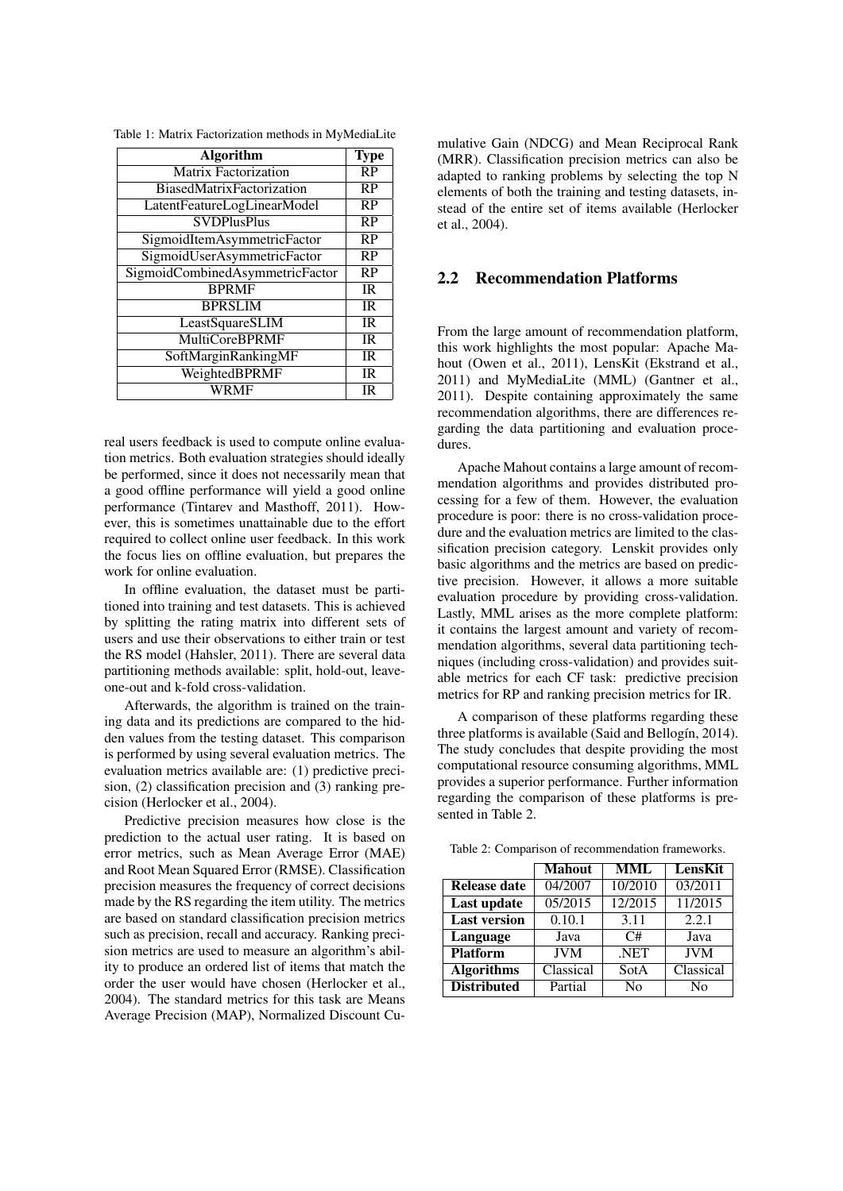|  |  | Table 1: Matrix Factorization methods in MyMediaLite |  |  |
|--|--|------------------------------------------------------|--|--|
|  |  |                                                      |  |  |

| <b>Algorithm</b>                | <b>Type</b> |
|---------------------------------|-------------|
| Matrix Factorization            | RP          |
| BiasedMatrixFactorization       | RP          |
| LatentFeatureLogLinearModel     | RP          |
| <b>SVDPlusPlus</b>              | RP          |
| SigmoidItemAsymmetricFactor     | RP          |
| SigmoidUserAsymmetricFactor     | <b>RP</b>   |
| SigmoidCombinedAsymmetricFactor | <b>RP</b>   |
| <b>BPRMF</b>                    | <b>IR</b>   |
| <b>BPRSLIM</b>                  | IR          |
| LeastSquareSLIM                 | <b>IR</b>   |
| <b>MultiCoreBPRMF</b>           | <b>IR</b>   |
| SoftMarginRankingMF             | <b>IR</b>   |
| WeightedBPRMF                   | <b>IR</b>   |
| WRMF                            | <b>IR</b>   |

real users feedback is used to compute online evaluation metrics. Both evaluation strategies should ideally be performed, since it does not necessarily mean that a good offline performance will yield a good online performance (Tintarev and Masthoff, 2011). However, this is sometimes unattainable due to the effort required to collect online user feedback. In this work the focus lies on offline evaluation, but prepares the work for online evaluation.

In offline evaluation, the dataset must be partitioned into training and test datasets. This is achieved by splitting the rating matrix into different sets of users and use their observations to either train or test the RS model (Hahsler, 2011). There are several data partitioning methods available: split, hold-out, leaveone-out and k-fold cross-validation.

Afterwards, the algorithm is trained on the training data and its predictions are compared to the hidden values from the testing dataset. This comparison is performed by using several evaluation metrics. The evaluation metrics available are: (1) predictive precision, (2) classification precision and (3) ranking precision (Herlocker et al., 2004).

Predictive precision measures how close is the prediction to the actual user rating. It is based on error metrics, such as Mean Average Error (MAE) and Root Mean Squared Error (RMSE). Classification precision measures the frequency of correct decisions made by the RS regarding the item utility. The metrics are based on standard classification precision metrics such as precision, recall and accuracy. Ranking precision metrics are used to measure an algorithm's ability to produce an ordered list of items that match the order the user would have chosen (Herlocker et al., 2004). The standard metrics for this task are Means Average Precision (MAP), Normalized Discount Cumulative Gain (NDCG) and Mean Reciprocal Rank (MRR). Classification precision metrics can also be adapted to ranking problems by selecting the top N elements of both the training and testing datasets, instead of the entire set of items available (Herlocker et al., 2004).

### 2.2 Recommendation Platforms

From the large amount of recommendation platform, this work highlights the most popular: Apache Mahout (Owen et al., 2011), LensKit (Ekstrand et al., 2011) and MyMediaLite (MML) (Gantner et al., 2011). Despite containing approximately the same recommendation algorithms, there are differences regarding the data partitioning and evaluation procedures.

Apache Mahout contains a large amount of recommendation algorithms and provides distributed processing for a few of them. However, the evaluation procedure is poor: there is no cross-validation procedure and the evaluation metrics are limited to the classification precision category. Lenskit provides only basic algorithms and the metrics are based on predictive precision. However, it allows a more suitable evaluation procedure by providing cross-validation. Lastly, MML arises as the more complete platform: it contains the largest amount and variety of recommendation algorithms, several data partitioning techniques (including cross-validation) and provides suitable metrics for each CF task: predictive precision metrics for RP and ranking precision metrics for IR.

A comparison of these platforms regarding these three platforms is available (Said and Bellogín, 2014). The study concludes that despite providing the most computational resource consuming algorithms, MML provides a superior performance. Further information regarding the comparison of these platforms is presented in Table 2.

|                     | <b>Mahout</b> | <b>MML</b>     | LensKit        |
|---------------------|---------------|----------------|----------------|
| <b>Release date</b> | 04/2007       | 10/2010        | 03/2011        |
| Last update         | 05/2015       | 12/2015        | 11/2015        |
| <b>Last version</b> | 0.10.1        | 3.11           | 2.2.1          |
| Language            | Java          | C#             | Java           |
| <b>Platform</b>     | <b>JVM</b>    | .NET           | <b>JVM</b>     |
| <b>Algorithms</b>   | Classical     | SotA           | Classical      |
| <b>Distributed</b>  | Partial       | N <sub>0</sub> | N <sub>0</sub> |

Table 2: Comparison of recommendation frameworks.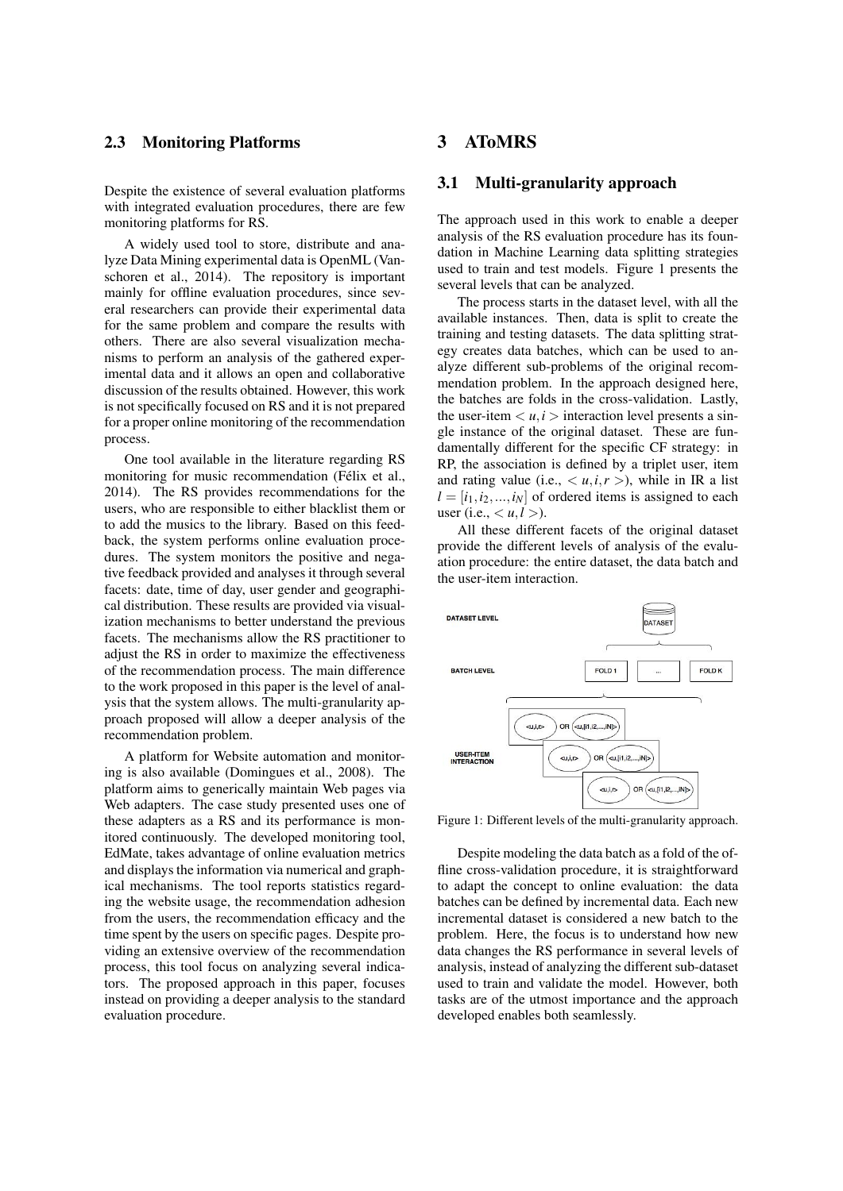### 2.3 Monitoring Platforms

Despite the existence of several evaluation platforms with integrated evaluation procedures, there are few monitoring platforms for RS.

A widely used tool to store, distribute and analyze Data Mining experimental data is OpenML (Vanschoren et al., 2014). The repository is important mainly for offline evaluation procedures, since several researchers can provide their experimental data for the same problem and compare the results with others. There are also several visualization mechanisms to perform an analysis of the gathered experimental data and it allows an open and collaborative discussion of the results obtained. However, this work is not specifically focused on RS and it is not prepared for a proper online monitoring of the recommendation process.

One tool available in the literature regarding RS monitoring for music recommendation (Félix et al., 2014). The RS provides recommendations for the users, who are responsible to either blacklist them or to add the musics to the library. Based on this feedback, the system performs online evaluation procedures. The system monitors the positive and negative feedback provided and analyses it through several facets: date, time of day, user gender and geographical distribution. These results are provided via visualization mechanisms to better understand the previous facets. The mechanisms allow the RS practitioner to adjust the RS in order to maximize the effectiveness of the recommendation process. The main difference to the work proposed in this paper is the level of analysis that the system allows. The multi-granularity approach proposed will allow a deeper analysis of the recommendation problem.

A platform for Website automation and monitoring is also available (Domingues et al., 2008). The platform aims to generically maintain Web pages via Web adapters. The case study presented uses one of these adapters as a RS and its performance is monitored continuously. The developed monitoring tool, EdMate, takes advantage of online evaluation metrics and displays the information via numerical and graphical mechanisms. The tool reports statistics regarding the website usage, the recommendation adhesion from the users, the recommendation efficacy and the time spent by the users on specific pages. Despite providing an extensive overview of the recommendation process, this tool focus on analyzing several indicators. The proposed approach in this paper, focuses instead on providing a deeper analysis to the standard evaluation procedure.

## 3 AToMRS

### 3.1 Multi-granularity approach

The approach used in this work to enable a deeper analysis of the RS evaluation procedure has its foundation in Machine Learning data splitting strategies used to train and test models. Figure 1 presents the several levels that can be analyzed.

The process starts in the dataset level, with all the available instances. Then, data is split to create the training and testing datasets. The data splitting strategy creates data batches, which can be used to analyze different sub-problems of the original recommendation problem. In the approach designed here, the batches are folds in the cross-validation. Lastly, the user-item  $\langle u, i \rangle$  interaction level presents a single instance of the original dataset. These are fundamentally different for the specific CF strategy: in RP, the association is defined by a triplet user, item and rating value (i.e.,  $\langle u, i, r \rangle$ ), while in IR a list  $l = [i_1, i_2, ..., i_N]$  of ordered items is assigned to each user (i.e.,  $\lt u, l >$ ).

All these different facets of the original dataset provide the different levels of analysis of the evaluation procedure: the entire dataset, the data batch and the user-item interaction.



Figure 1: Different levels of the multi-granularity approach.

Despite modeling the data batch as a fold of the offline cross-validation procedure, it is straightforward to adapt the concept to online evaluation: the data batches can be defined by incremental data. Each new incremental dataset is considered a new batch to the problem. Here, the focus is to understand how new data changes the RS performance in several levels of analysis, instead of analyzing the different sub-dataset used to train and validate the model. However, both tasks are of the utmost importance and the approach developed enables both seamlessly.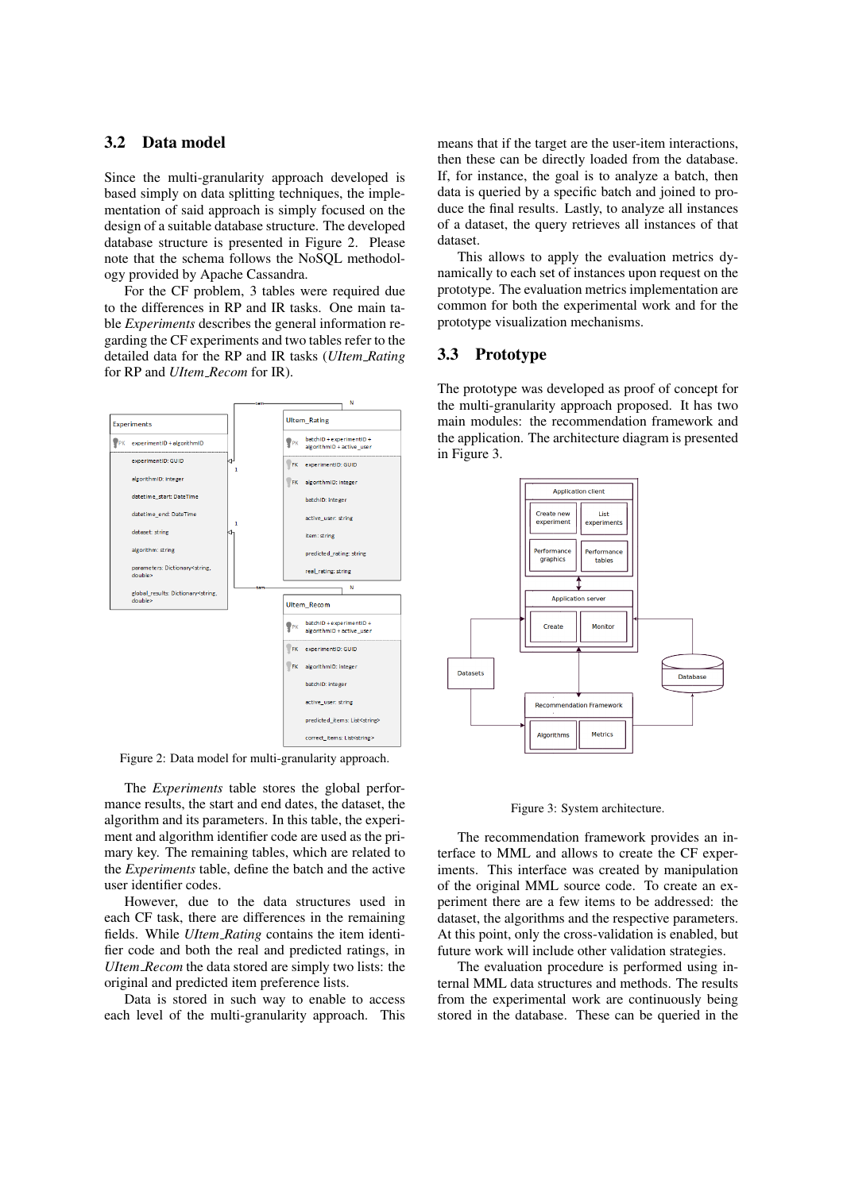### 3.2 Data model

Since the multi-granularity approach developed is based simply on data splitting techniques, the implementation of said approach is simply focused on the design of a suitable database structure. The developed database structure is presented in Figure 2. Please note that the schema follows the NoSQL methodology provided by Apache Cassandra.

For the CF problem, 3 tables were required due to the differences in RP and IR tasks. One main table *Experiments* describes the general information regarding the CF experiments and two tables refer to the detailed data for the RP and IR tasks (*UItem Rating* for RP and *UItem Recom* for IR).



Figure 2: Data model for multi-granularity approach.

The *Experiments* table stores the global performance results, the start and end dates, the dataset, the algorithm and its parameters. In this table, the experiment and algorithm identifier code are used as the primary key. The remaining tables, which are related to the *Experiments* table, define the batch and the active user identifier codes.

However, due to the data structures used in each CF task, there are differences in the remaining fields. While *UItem Rating* contains the item identifier code and both the real and predicted ratings, in *UItem Recom* the data stored are simply two lists: the original and predicted item preference lists.

Data is stored in such way to enable to access each level of the multi-granularity approach. This means that if the target are the user-item interactions, then these can be directly loaded from the database. If, for instance, the goal is to analyze a batch, then data is queried by a specific batch and joined to produce the final results. Lastly, to analyze all instances of a dataset, the query retrieves all instances of that dataset.

This allows to apply the evaluation metrics dynamically to each set of instances upon request on the prototype. The evaluation metrics implementation are common for both the experimental work and for the prototype visualization mechanisms.

### 3.3 Prototype

The prototype was developed as proof of concept for the multi-granularity approach proposed. It has two main modules: the recommendation framework and the application. The architecture diagram is presented in Figure 3.



Figure 3: System architecture.

The recommendation framework provides an interface to MML and allows to create the CF experiments. This interface was created by manipulation of the original MML source code. To create an experiment there are a few items to be addressed: the dataset, the algorithms and the respective parameters. At this point, only the cross-validation is enabled, but future work will include other validation strategies.

The evaluation procedure is performed using internal MML data structures and methods. The results from the experimental work are continuously being stored in the database. These can be queried in the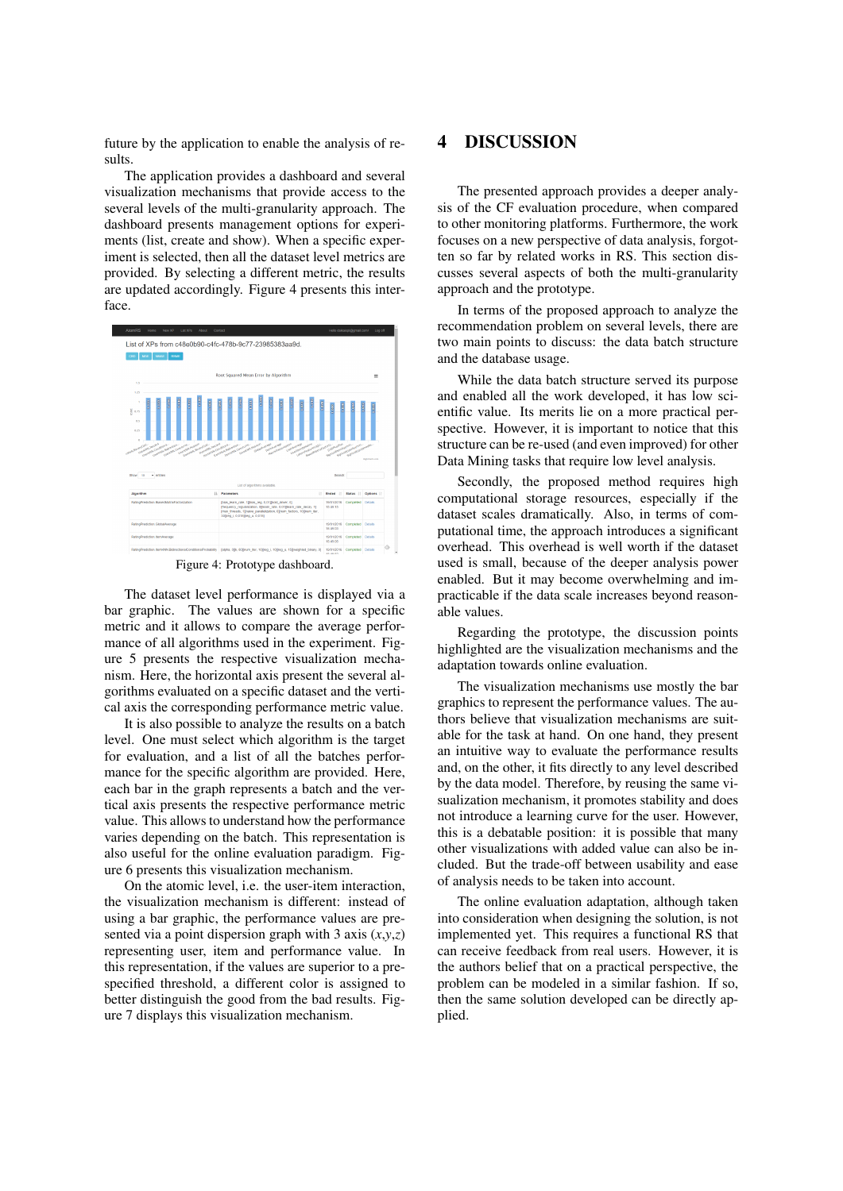future by the application to enable the analysis of results.

The application provides a dashboard and several visualization mechanisms that provide access to the several levels of the multi-granularity approach. The dashboard presents management options for experiments (list, create and show). When a specific experiment is selected, then all the dataset level metrics are provided. By selecting a different metric, the results are updated accordingly. Figure 4 presents this interface.



Figure 4: Prototype dashboard.

The dataset level performance is displayed via a bar graphic. The values are shown for a specific metric and it allows to compare the average performance of all algorithms used in the experiment. Figure 5 presents the respective visualization mechanism. Here, the horizontal axis present the several algorithms evaluated on a specific dataset and the vertical axis the corresponding performance metric value.

It is also possible to analyze the results on a batch level. One must select which algorithm is the target for evaluation, and a list of all the batches performance for the specific algorithm are provided. Here, each bar in the graph represents a batch and the vertical axis presents the respective performance metric value. This allows to understand how the performance varies depending on the batch. This representation is also useful for the online evaluation paradigm. Figure 6 presents this visualization mechanism.

On the atomic level, i.e. the user-item interaction, the visualization mechanism is different: instead of using a bar graphic, the performance values are presented via a point dispersion graph with 3 axis  $(x, y, z)$ representing user, item and performance value. In this representation, if the values are superior to a prespecified threshold, a different color is assigned to better distinguish the good from the bad results. Figure 7 displays this visualization mechanism.

## 4 DISCUSSION

The presented approach provides a deeper analysis of the CF evaluation procedure, when compared to other monitoring platforms. Furthermore, the work focuses on a new perspective of data analysis, forgotten so far by related works in RS. This section discusses several aspects of both the multi-granularity approach and the prototype.

In terms of the proposed approach to analyze the recommendation problem on several levels, there are two main points to discuss: the data batch structure and the database usage.

While the data batch structure served its purpose and enabled all the work developed, it has low scientific value. Its merits lie on a more practical perspective. However, it is important to notice that this structure can be re-used (and even improved) for other Data Mining tasks that require low level analysis.

Secondly, the proposed method requires high computational storage resources, especially if the dataset scales dramatically. Also, in terms of computational time, the approach introduces a significant overhead. This overhead is well worth if the dataset used is small, because of the deeper analysis power enabled. But it may become overwhelming and impracticable if the data scale increases beyond reasonable values.

Regarding the prototype, the discussion points highlighted are the visualization mechanisms and the adaptation towards online evaluation.

The visualization mechanisms use mostly the bar graphics to represent the performance values. The authors believe that visualization mechanisms are suitable for the task at hand. On one hand, they present an intuitive way to evaluate the performance results and, on the other, it fits directly to any level described by the data model. Therefore, by reusing the same visualization mechanism, it promotes stability and does not introduce a learning curve for the user. However, this is a debatable position: it is possible that many other visualizations with added value can also be included. But the trade-off between usability and ease of analysis needs to be taken into account.

The online evaluation adaptation, although taken into consideration when designing the solution, is not implemented yet. This requires a functional RS that can receive feedback from real users. However, it is the authors belief that on a practical perspective, the problem can be modeled in a similar fashion. If so, then the same solution developed can be directly applied.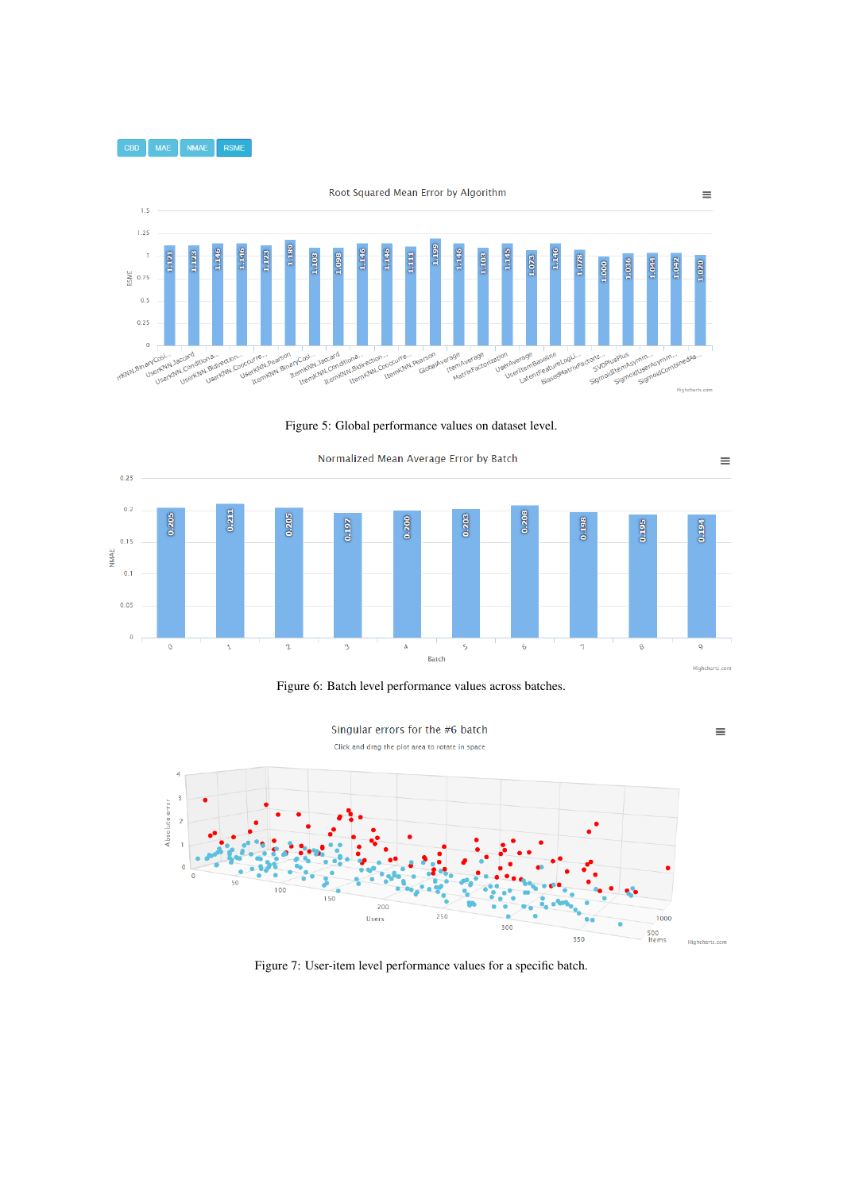

Figure 5: Global performance values on dataset level.







Figure 7: User-item level performance values for a specific batch.